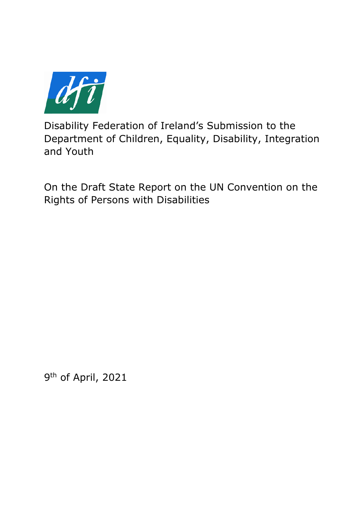

Disability Federation of Ireland's Submission to the Department of Children, Equality, Disability, Integration and Youth

On the Draft State Report on the UN Convention on the Rights of Persons with Disabilities

9<sup>th</sup> of April, 2021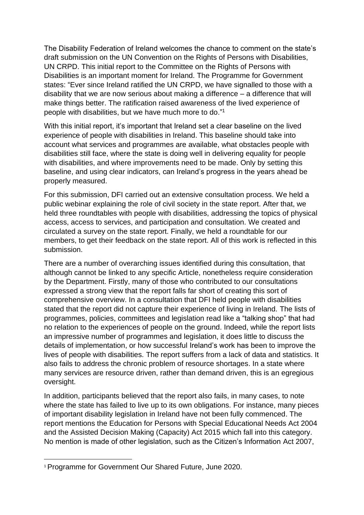The Disability Federation of Ireland welcomes the chance to comment on the state's draft submission on the UN Convention on the Rights of Persons with Disabilities, UN CRPD. This initial report to the Committee on the Rights of Persons with Disabilities is an important moment for Ireland. The Programme for Government states: "Ever since Ireland ratified the UN CRPD, we have signalled to those with a disability that we are now serious about making a difference – a difference that will make things better. The ratification raised awareness of the lived experience of people with disabilities, but we have much more to do." 1

With this initial report, it's important that Ireland set a clear baseline on the lived experience of people with disabilities in Ireland. This baseline should take into account what services and programmes are available, what obstacles people with disabilities still face, where the state is doing well in delivering equality for people with disabilities, and where improvements need to be made. Only by setting this baseline, and using clear indicators, can Ireland's progress in the years ahead be properly measured.

For this submission, DFI carried out an extensive consultation process. We held a public webinar explaining the role of civil society in the state report. After that, we held three roundtables with people with disabilities, addressing the topics of physical access, access to services, and participation and consultation. We created and circulated a survey on the state report. Finally, we held a roundtable for our members, to get their feedback on the state report. All of this work is reflected in this submission.

There are a number of overarching issues identified during this consultation, that although cannot be linked to any specific Article, nonetheless require consideration by the Department. Firstly, many of those who contributed to our consultations expressed a strong view that the report falls far short of creating this sort of comprehensive overview. In a consultation that DFI held people with disabilities stated that the report did not capture their experience of living in Ireland. The lists of programmes, policies, committees and legislation read like a "talking shop" that had no relation to the experiences of people on the ground. Indeed, while the report lists an impressive number of programmes and legislation, it does little to discuss the details of implementation, or how successful Ireland's work has been to improve the lives of people with disabilities. The report suffers from a lack of data and statistics. It also fails to address the chronic problem of resource shortages. In a state where many services are resource driven, rather than demand driven, this is an egregious oversight.

In addition, participants believed that the report also fails, in many cases, to note where the state has failed to live up to its own obligations. For instance, many pieces of important disability legislation in Ireland have not been fully commenced. The report mentions the Education for Persons with Special Educational Needs Act 2004 and the Assisted Decision Making (Capacity) Act 2015 which fall into this category. No mention is made of other legislation, such as the Citizen's Information Act 2007,

<sup>&</sup>lt;sup>1</sup> Programme for Government Our Shared Future, June 2020.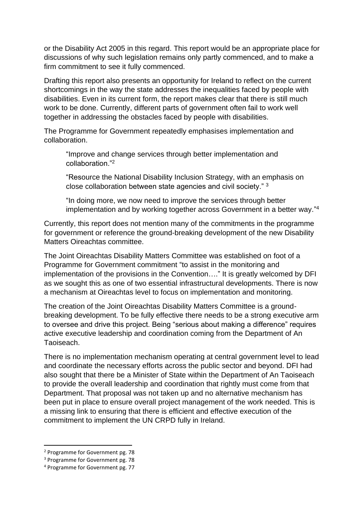or the Disability Act 2005 in this regard. This report would be an appropriate place for discussions of why such legislation remains only partly commenced, and to make a firm commitment to see it fully commenced.

Drafting this report also presents an opportunity for Ireland to reflect on the current shortcomings in the way the state addresses the inequalities faced by people with disabilities. Even in its current form, the report makes clear that there is still much work to be done. Currently, different parts of government often fail to work well together in addressing the obstacles faced by people with disabilities.

The Programme for Government repeatedly emphasises implementation and collaboration.

"Improve and change services through better implementation and collaboration."<sup>2</sup>

"Resource the National Disability Inclusion Strategy, with an emphasis on close collaboration between state agencies and civil society." <sup>3</sup>

"In doing more, we now need to improve the services through better implementation and by working together across Government in a better way." 4

Currently, this report does not mention many of the commitments in the programme for government or reference the ground-breaking development of the new Disability Matters Oireachtas committee.

The Joint Oireachtas Disability Matters Committee was established on foot of a Programme for Government commitment "to assist in the monitoring and implementation of the provisions in the Convention…." It is greatly welcomed by DFI as we sought this as one of two essential infrastructural developments. There is now a mechanism at Oireachtas level to focus on implementation and monitoring.

The creation of the Joint Oireachtas Disability Matters Committee is a groundbreaking development. To be fully effective there needs to be a strong executive arm to oversee and drive this project. Being "serious about making a difference" requires active executive leadership and coordination coming from the Department of An Taoiseach.

There is no implementation mechanism operating at central government level to lead and coordinate the necessary efforts across the public sector and beyond. DFI had also sought that there be a Minister of State within the Department of An Taoiseach to provide the overall leadership and coordination that rightly must come from that Department. That proposal was not taken up and no alternative mechanism has been put in place to ensure overall project management of the work needed. This is a missing link to ensuring that there is efficient and effective execution of the commitment to implement the UN CRPD fully in Ireland.

<sup>2</sup> Programme for Government pg. 78

<sup>&</sup>lt;sup>3</sup> Programme for Government pg. 78

<sup>4</sup> Programme for Government pg. 77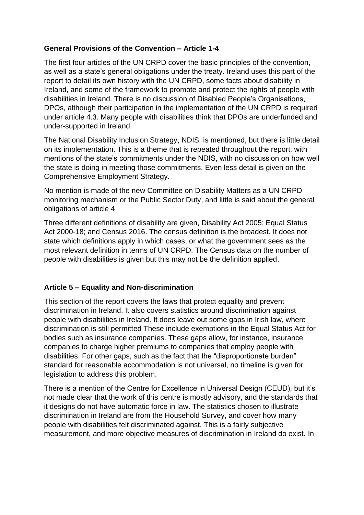### **General Provisions of the Convention – Article 1-4**

The first four articles of the UN CRPD cover the basic principles of the convention, as well as a state's general obligations under the treaty. Ireland uses this part of the report to detail its own history with the UN CRPD, some facts about disability in Ireland, and some of the framework to promote and protect the rights of people with disabilities in Ireland. There is no discussion of Disabled People's Organisations, DPOs, although their participation in the implementation of the UN CRPD is required under article 4.3. Many people with disabilities think that DPOs are underfunded and under-supported in Ireland.

The National Disability Inclusion Strategy, NDIS, is mentioned, but there is little detail on its implementation. This is a theme that is repeated throughout the report, with mentions of the state's commitments under the NDIS, with no discussion on how well the state is doing in meeting those commitments. Even less detail is given on the Comprehensive Employment Strategy.

No mention is made of the new Committee on Disability Matters as a UN CRPD monitoring mechanism or the Public Sector Duty, and little is said about the general obligations of article 4

Three different definitions of disability are given, Disability Act 2005; Equal Status Act 2000-18; and Census 2016. The census definition is the broadest. It does not state which definitions apply in which cases, or what the government sees as the most relevant definition in terms of UN CRPD. The Census data on the number of people with disabilities is given but this may not be the definition applied.

### **Article 5 – Equality and Non-discrimination**

This section of the report covers the laws that protect equality and prevent discrimination in Ireland. It also covers statistics around discrimination against people with disabilities in Ireland. It does leave out some gaps in Irish law, where discrimination is still permitted These include exemptions in the Equal Status Act for bodies such as insurance companies. These gaps allow, for instance, insurance companies to charge higher premiums to companies that employ people with disabilities. For other gaps, such as the fact that the "disproportionate burden" standard for reasonable accommodation is not universal, no timeline is given for legislation to address this problem.

There is a mention of the Centre for Excellence in Universal Design (CEUD), but it's not made clear that the work of this centre is mostly advisory, and the standards that it designs do not have automatic force in law. The statistics chosen to illustrate discrimination in Ireland are from the Household Survey, and cover how many people with disabilities felt discriminated against. This is a fairly subjective measurement, and more objective measures of discrimination in Ireland do exist. In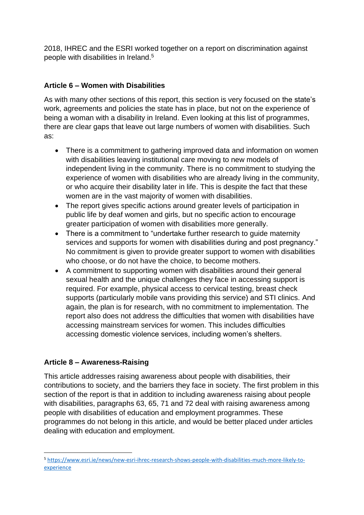2018, IHREC and the ESRI worked together on a report on discrimination against people with disabilities in Ireland.<sup>5</sup>

# **Article 6 – Women with Disabilities**

As with many other sections of this report, this section is very focused on the state's work, agreements and policies the state has in place, but not on the experience of being a woman with a disability in Ireland. Even looking at this list of programmes, there are clear gaps that leave out large numbers of women with disabilities. Such as:

- There is a commitment to gathering improved data and information on women with disabilities leaving institutional care moving to new models of independent living in the community. There is no commitment to studying the experience of women with disabilities who are already living in the community, or who acquire their disability later in life. This is despite the fact that these women are in the vast majority of women with disabilities.
- The report gives specific actions around greater levels of participation in public life by deaf women and girls, but no specific action to encourage greater participation of women with disabilities more generally.
- There is a commitment to "undertake further research to quide maternity services and supports for women with disabilities during and post pregnancy." No commitment is given to provide greater support to women with disabilities who choose, or do not have the choice, to become mothers.
- A commitment to supporting women with disabilities around their general sexual health and the unique challenges they face in accessing support is required. For example, physical access to cervical testing, breast check supports (particularly mobile vans providing this service) and STI clinics. And again, the plan is for research, with no commitment to implementation. The report also does not address the difficulties that women with disabilities have accessing mainstream services for women. This includes difficulties accessing domestic violence services, including women's shelters.

# **Article 8 – Awareness-Raising**

This article addresses raising awareness about people with disabilities, their contributions to society, and the barriers they face in society. The first problem in this section of the report is that in addition to including awareness raising about people with disabilities, paragraphs 63, 65, 71 and 72 deal with raising awareness among people with disabilities of education and employment programmes. These programmes do not belong in this article, and would be better placed under articles dealing with education and employment.

<sup>5</sup> [https://www.esri.ie/news/new-esri-ihrec-research-shows-people-with-disabilities-much-more-likely-to](https://www.esri.ie/news/new-esri-ihrec-research-shows-people-with-disabilities-much-more-likely-to-experience)[experience](https://www.esri.ie/news/new-esri-ihrec-research-shows-people-with-disabilities-much-more-likely-to-experience)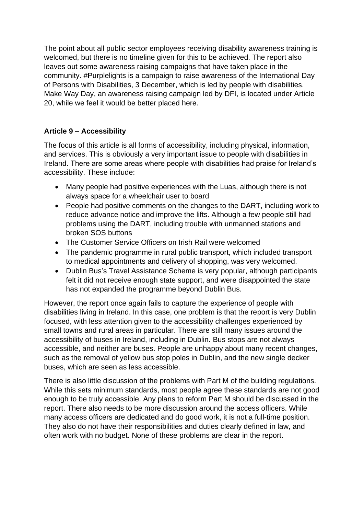The point about all public sector employees receiving disability awareness training is welcomed, but there is no timeline given for this to be achieved. The report also leaves out some awareness raising campaigns that have taken place in the community. #Purplelights is a campaign to raise awareness of the International Day of Persons with Disabilities, 3 December, which is led by people with disabilities. Make Way Day, an awareness raising campaign led by DFI, is located under Article 20, while we feel it would be better placed here.

# **Article 9 – Accessibility**

The focus of this article is all forms of accessibility, including physical, information, and services. This is obviously a very important issue to people with disabilities in Ireland. There are some areas where people with disabilities had praise for Ireland's accessibility. These include:

- Many people had positive experiences with the Luas, although there is not always space for a wheelchair user to board
- People had positive comments on the changes to the DART, including work to reduce advance notice and improve the lifts. Although a few people still had problems using the DART, including trouble with unmanned stations and broken SOS buttons
- The Customer Service Officers on Irish Rail were welcomed
- The pandemic programme in rural public transport, which included transport to medical appointments and delivery of shopping, was very welcomed.
- Dublin Bus's Travel Assistance Scheme is very popular, although participants felt it did not receive enough state support, and were disappointed the state has not expanded the programme beyond Dublin Bus.

However, the report once again fails to capture the experience of people with disabilities living in Ireland. In this case, one problem is that the report is very Dublin focused, with less attention given to the accessibility challenges experienced by small towns and rural areas in particular. There are still many issues around the accessibility of buses in Ireland, including in Dublin. Bus stops are not always accessible, and neither are buses. People are unhappy about many recent changes, such as the removal of yellow bus stop poles in Dublin, and the new single decker buses, which are seen as less accessible.

There is also little discussion of the problems with Part M of the building regulations. While this sets minimum standards, most people agree these standards are not good enough to be truly accessible. Any plans to reform Part M should be discussed in the report. There also needs to be more discussion around the access officers. While many access officers are dedicated and do good work, it is not a full-time position. They also do not have their responsibilities and duties clearly defined in law, and often work with no budget. None of these problems are clear in the report.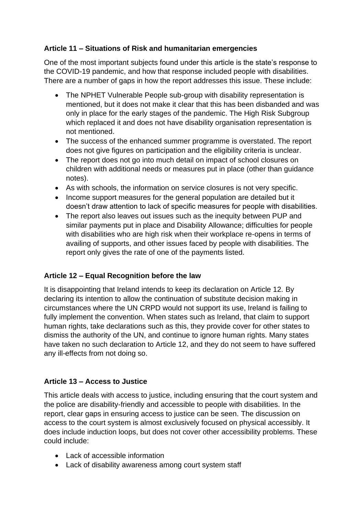# **Article 11 – Situations of Risk and humanitarian emergencies**

One of the most important subjects found under this article is the state's response to the COVID-19 pandemic, and how that response included people with disabilities. There are a number of gaps in how the report addresses this issue. These include:

- The NPHET Vulnerable People sub-group with disability representation is mentioned, but it does not make it clear that this has been disbanded and was only in place for the early stages of the pandemic. The High Risk Subgroup which replaced it and does not have disability organisation representation is not mentioned.
- The success of the enhanced summer programme is overstated. The report does not give figures on participation and the eligibility criteria is unclear.
- The report does not go into much detail on impact of school closures on children with additional needs or measures put in place (other than guidance notes).
- As with schools, the information on service closures is not very specific.
- Income support measures for the general population are detailed but it doesn't draw attention to lack of specific measures for people with disabilities.
- The report also leaves out issues such as the inequity between PUP and similar payments put in place and Disability Allowance; difficulties for people with disabilities who are high risk when their workplace re-opens in terms of availing of supports, and other issues faced by people with disabilities. The report only gives the rate of one of the payments listed.

### **Article 12 – Equal Recognition before the law**

It is disappointing that Ireland intends to keep its declaration on Article 12. By declaring its intention to allow the continuation of substitute decision making in circumstances where the UN CRPD would not support its use, Ireland is failing to fully implement the convention. When states such as Ireland, that claim to support human rights, take declarations such as this, they provide cover for other states to dismiss the authority of the UN, and continue to ignore human rights. Many states have taken no such declaration to Article 12, and they do not seem to have suffered any ill-effects from not doing so.

# **Article 13 – Access to Justice**

This article deals with access to justice, including ensuring that the court system and the police are disability-friendly and accessible to people with disabilities. In the report, clear gaps in ensuring access to justice can be seen. The discussion on access to the court system is almost exclusively focused on physical accessibly. It does include induction loops, but does not cover other accessibility problems. These could include:

- Lack of accessible information
- Lack of disability awareness among court system staff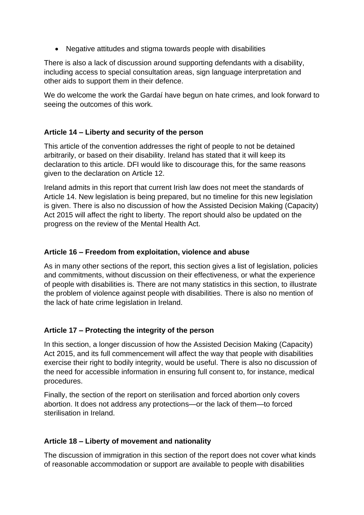• Negative attitudes and stigma towards people with disabilities

There is also a lack of discussion around supporting defendants with a disability, including access to special consultation areas, sign language interpretation and other aids to support them in their defence.

We do welcome the work the Gardaí have begun on hate crimes, and look forward to seeing the outcomes of this work.

### **Article 14 – Liberty and security of the person**

This article of the convention addresses the right of people to not be detained arbitrarily, or based on their disability. Ireland has stated that it will keep its declaration to this article. DFI would like to discourage this, for the same reasons given to the declaration on Article 12.

Ireland admits in this report that current Irish law does not meet the standards of Article 14. New legislation is being prepared, but no timeline for this new legislation is given. There is also no discussion of how the Assisted Decision Making (Capacity) Act 2015 will affect the right to liberty. The report should also be updated on the progress on the review of the Mental Health Act.

### **Article 16 – Freedom from exploitation, violence and abuse**

As in many other sections of the report, this section gives a list of legislation, policies and commitments, without discussion on their effectiveness, or what the experience of people with disabilities is. There are not many statistics in this section, to illustrate the problem of violence against people with disabilities. There is also no mention of the lack of hate crime legislation in Ireland.

### **Article 17 – Protecting the integrity of the person**

In this section, a longer discussion of how the Assisted Decision Making (Capacity) Act 2015, and its full commencement will affect the way that people with disabilities exercise their right to bodily integrity, would be useful. There is also no discussion of the need for accessible information in ensuring full consent to, for instance, medical procedures.

Finally, the section of the report on sterilisation and forced abortion only covers abortion. It does not address any protections—or the lack of them—to forced sterilisation in Ireland.

### **Article 18 – Liberty of movement and nationality**

The discussion of immigration in this section of the report does not cover what kinds of reasonable accommodation or support are available to people with disabilities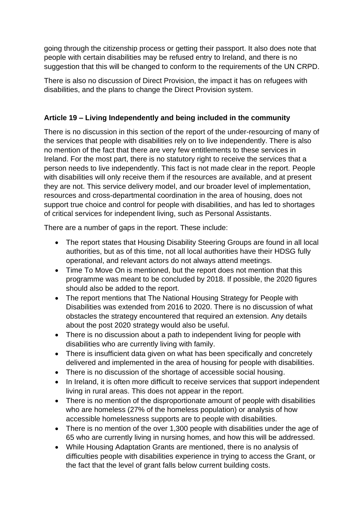going through the citizenship process or getting their passport. It also does note that people with certain disabilities may be refused entry to Ireland, and there is no suggestion that this will be changed to conform to the requirements of the UN CRPD.

There is also no discussion of Direct Provision, the impact it has on refugees with disabilities, and the plans to change the Direct Provision system.

### **Article 19 – Living Independently and being included in the community**

There is no discussion in this section of the report of the under-resourcing of many of the services that people with disabilities rely on to live independently. There is also no mention of the fact that there are very few entitlements to these services in Ireland. For the most part, there is no statutory right to receive the services that a person needs to live independently. This fact is not made clear in the report. People with disabilities will only receive them if the resources are available, and at present they are not. This service delivery model, and our broader level of implementation, resources and cross-departmental coordination in the area of housing, does not support true choice and control for people with disabilities, and has led to shortages of critical services for independent living, such as Personal Assistants.

There are a number of gaps in the report. These include:

- The report states that Housing Disability Steering Groups are found in all local authorities, but as of this time, not all local authorities have their HDSG fully operational, and relevant actors do not always attend meetings.
- Time To Move On is mentioned, but the report does not mention that this programme was meant to be concluded by 2018. If possible, the 2020 figures should also be added to the report.
- The report mentions that The National Housing Strategy for People with Disabilities was extended from 2016 to 2020. There is no discussion of what obstacles the strategy encountered that required an extension. Any details about the post 2020 strategy would also be useful.
- There is no discussion about a path to independent living for people with disabilities who are currently living with family.
- There is insufficient data given on what has been specifically and concretely delivered and implemented in the area of housing for people with disabilities.
- There is no discussion of the shortage of accessible social housing.
- In Ireland, it is often more difficult to receive services that support independent living in rural areas. This does not appear in the report.
- There is no mention of the disproportionate amount of people with disabilities who are homeless (27% of the homeless population) or analysis of how accessible homelessness supports are to people with disabilities.
- There is no mention of the over 1,300 people with disabilities under the age of 65 who are currently living in nursing homes, and how this will be addressed.
- While Housing Adaptation Grants are mentioned, there is no analysis of difficulties people with disabilities experience in trying to access the Grant, or the fact that the level of grant falls below current building costs.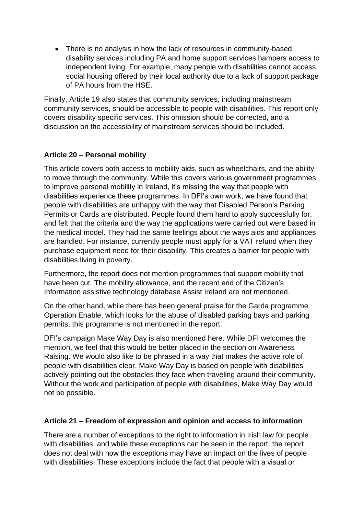• There is no analysis in how the lack of resources in community-based disability services including PA and home support services hampers access to independent living. For example, many people with disabilities cannot access social housing offered by their local authority due to a lack of support package of PA hours from the HSE.

Finally, Article 19 also states that community services, including mainstream community services, should be accessible to people with disabilities. This report only covers disability specific services. This omission should be corrected, and a discussion on the accessibility of mainstream services should be included.

# **Article 20 – Personal mobility**

This article covers both access to mobility aids, such as wheelchairs, and the ability to move through the community. While this covers various government programmes to improve personal mobility in Ireland, it's missing the way that people with disabilities experience these programmes. In DFI's own work, we have found that people with disabilities are unhappy with the way that Disabled Person's Parking Permits or Cards are distributed. People found them hard to apply successfully for, and felt that the criteria and the way the applications were carried out were based in the medical model. They had the same feelings about the ways aids and appliances are handled. For instance, currently people must apply for a VAT refund when they purchase equipment need for their disability. This creates a barrier for people with disabilities living in poverty.

Furthermore, the report does not mention programmes that support mobility that have been cut. The mobility allowance, and the recent end of the Citizen's Information assistive technology database Assist Ireland are not mentioned.

On the other hand, while there has been general praise for the Garda programme Operation Enable, which looks for the abuse of disabled parking bays and parking permits, this programme is not mentioned in the report.

DFI's campaign Make Way Day is also mentioned here. While DFI welcomes the mention, we feel that this would be better placed in the section on Awareness Raising. We would also like to be phrased in a way that makes the active role of people with disabilities clear. Make Way Day is based on people with disabilities actively pointing out the obstacles they face when traveling around their community. Without the work and participation of people with disabilities, Make Way Day would not be possible.

### **Article 21 – Freedom of expression and opinion and access to information**

There are a number of exceptions to the right to information in Irish law for people with disabilities, and while these exceptions can be seen in the report, the report does not deal with how the exceptions may have an impact on the lives of people with disabilities. These exceptions include the fact that people with a visual or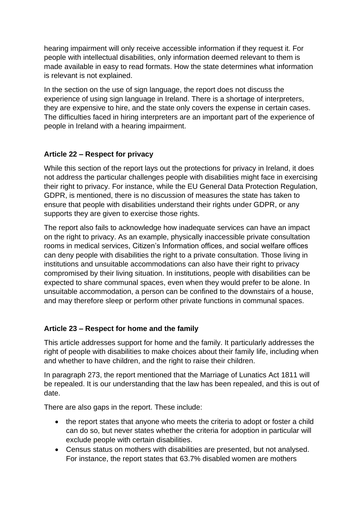hearing impairment will only receive accessible information if they request it. For people with intellectual disabilities, only information deemed relevant to them is made available in easy to read formats. How the state determines what information is relevant is not explained.

In the section on the use of sign language, the report does not discuss the experience of using sign language in Ireland. There is a shortage of interpreters, they are expensive to hire, and the state only covers the expense in certain cases. The difficulties faced in hiring interpreters are an important part of the experience of people in Ireland with a hearing impairment.

# **Article 22 – Respect for privacy**

While this section of the report lays out the protections for privacy in Ireland, it does not address the particular challenges people with disabilities might face in exercising their right to privacy. For instance, while the EU General Data Protection Regulation, GDPR, is mentioned, there is no discussion of measures the state has taken to ensure that people with disabilities understand their rights under GDPR, or any supports they are given to exercise those rights.

The report also fails to acknowledge how inadequate services can have an impact on the right to privacy. As an example, physically inaccessible private consultation rooms in medical services, Citizen's Information offices, and social welfare offices can deny people with disabilities the right to a private consultation. Those living in institutions and unsuitable accommodations can also have their right to privacy compromised by their living situation. In institutions, people with disabilities can be expected to share communal spaces, even when they would prefer to be alone. In unsuitable accommodation, a person can be confined to the downstairs of a house, and may therefore sleep or perform other private functions in communal spaces.

### **Article 23 – Respect for home and the family**

This article addresses support for home and the family. It particularly addresses the right of people with disabilities to make choices about their family life, including when and whether to have children, and the right to raise their children.

In paragraph 273, the report mentioned that the Marriage of Lunatics Act 1811 will be repealed. It is our understanding that the law has been repealed, and this is out of date.

There are also gaps in the report. These include:

- the report states that anyone who meets the criteria to adopt or foster a child can do so, but never states whether the criteria for adoption in particular will exclude people with certain disabilities.
- Census status on mothers with disabilities are presented, but not analysed. For instance, the report states that 63.7% disabled women are mothers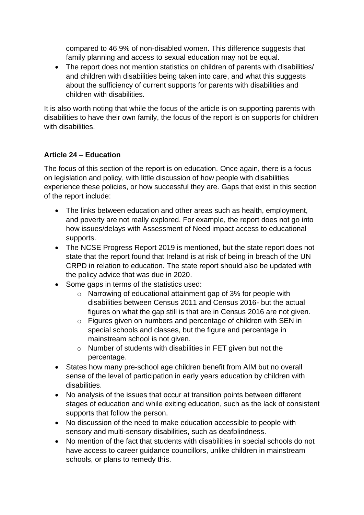compared to 46.9% of non-disabled women. This difference suggests that family planning and access to sexual education may not be equal.

• The report does not mention statistics on children of parents with disabilities/ and children with disabilities being taken into care, and what this suggests about the sufficiency of current supports for parents with disabilities and children with disabilities.

It is also worth noting that while the focus of the article is on supporting parents with disabilities to have their own family, the focus of the report is on supports for children with disabilities.

# **Article 24 – Education**

The focus of this section of the report is on education. Once again, there is a focus on legislation and policy, with little discussion of how people with disabilities experience these policies, or how successful they are. Gaps that exist in this section of the report include:

- The links between education and other areas such as health, employment, and poverty are not really explored. For example, the report does not go into how issues/delays with Assessment of Need impact access to educational supports.
- The NCSE Progress Report 2019 is mentioned, but the state report does not state that the report found that Ireland is at risk of being in breach of the UN CRPD in relation to education. The state report should also be updated with the policy advice that was due in 2020.
- Some gaps in terms of the statistics used:
	- o Narrowing of educational attainment gap of 3% for people with disabilities between Census 2011 and Census 2016- but the actual figures on what the gap still is that are in Census 2016 are not given.
	- o Figures given on numbers and percentage of children with SEN in special schools and classes, but the figure and percentage in mainstream school is not given.
	- o Number of students with disabilities in FET given but not the percentage.
- States how many pre-school age children benefit from AIM but no overall sense of the level of participation in early years education by children with disabilities.
- No analysis of the issues that occur at transition points between different stages of education and while exiting education, such as the lack of consistent supports that follow the person.
- No discussion of the need to make education accessible to people with sensory and multi-sensory disabilities, such as deafblindness.
- No mention of the fact that students with disabilities in special schools do not have access to career guidance councillors, unlike children in mainstream schools, or plans to remedy this.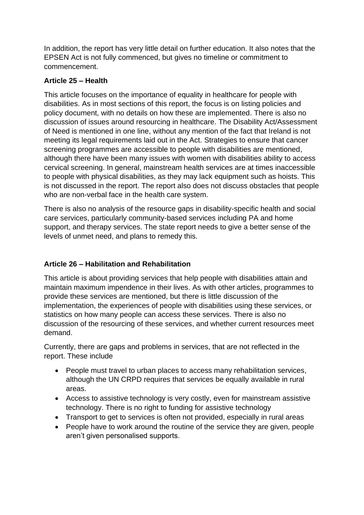In addition, the report has very little detail on further education. It also notes that the EPSEN Act is not fully commenced, but gives no timeline or commitment to commencement.

# **Article 25 – Health**

This article focuses on the importance of equality in healthcare for people with disabilities. As in most sections of this report, the focus is on listing policies and policy document, with no details on how these are implemented. There is also no discussion of issues around resourcing in healthcare. The Disability Act/Assessment of Need is mentioned in one line, without any mention of the fact that Ireland is not meeting its legal requirements laid out in the Act. Strategies to ensure that cancer screening programmes are accessible to people with disabilities are mentioned, although there have been many issues with women with disabilities ability to access cervical screening. In general, mainstream health services are at times inaccessible to people with physical disabilities, as they may lack equipment such as hoists. This is not discussed in the report. The report also does not discuss obstacles that people who are non-verbal face in the health care system.

There is also no analysis of the resource gaps in disability-specific health and social care services, particularly community-based services including PA and home support, and therapy services. The state report needs to give a better sense of the levels of unmet need, and plans to remedy this.

# **Article 26 – Habilitation and Rehabilitation**

This article is about providing services that help people with disabilities attain and maintain maximum impendence in their lives. As with other articles, programmes to provide these services are mentioned, but there is little discussion of the implementation, the experiences of people with disabilities using these services, or statistics on how many people can access these services. There is also no discussion of the resourcing of these services, and whether current resources meet demand.

Currently, there are gaps and problems in services, that are not reflected in the report. These include

- People must travel to urban places to access many rehabilitation services, although the UN CRPD requires that services be equally available in rural areas.
- Access to assistive technology is very costly, even for mainstream assistive technology. There is no right to funding for assistive technology
- Transport to get to services is often not provided, especially in rural areas
- People have to work around the routine of the service they are given, people aren't given personalised supports.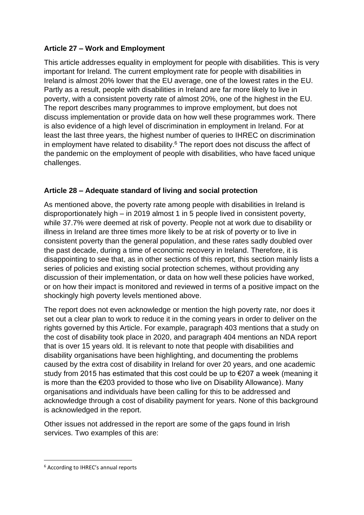# **Article 27 – Work and Employment**

This article addresses equality in employment for people with disabilities. This is very important for Ireland. The current employment rate for people with disabilities in Ireland is almost 20% lower that the EU average, one of the lowest rates in the EU. Partly as a result, people with disabilities in Ireland are far more likely to live in poverty, with a consistent poverty rate of almost 20%, one of the highest in the EU. The report describes many programmes to improve employment, but does not discuss implementation or provide data on how well these programmes work. There is also evidence of a high level of discrimination in employment in Ireland. For at least the last three years, the highest number of queries to IHREC on discrimination in employment have related to disability.<sup>6</sup> The report does not discuss the affect of the pandemic on the employment of people with disabilities, who have faced unique challenges.

# **Article 28 – Adequate standard of living and social protection**

As mentioned above, the poverty rate among people with disabilities in Ireland is disproportionately high – in 2019 almost 1 in 5 people lived in consistent poverty, while 37.7% were deemed at risk of poverty. People not at work due to disability or illness in Ireland are three times more likely to be at risk of poverty or to live in consistent poverty than the general population, and these rates sadly doubled over the past decade, during a time of economic recovery in Ireland. Therefore, it is disappointing to see that, as in other sections of this report, this section mainly lists a series of policies and existing social protection schemes, without providing any discussion of their implementation, or data on how well these policies have worked, or on how their impact is monitored and reviewed in terms of a positive impact on the shockingly high poverty levels mentioned above.

The report does not even acknowledge or mention the high poverty rate, nor does it set out a clear plan to work to reduce it in the coming years in order to deliver on the rights governed by this Article. For example, paragraph 403 mentions that a study on the cost of disability took place in 2020, and paragraph 404 mentions an NDA report that is over 15 years old. It is relevant to note that people with disabilities and disability organisations have been highlighting, and documenting the problems caused by the extra cost of disability in Ireland for over 20 years, and one academic study from 2015 has estimated that this cost could be up to €207 a week (meaning it is more than the €203 provided to those who live on Disability Allowance). Many organisations and individuals have been calling for this to be addressed and acknowledge through a cost of disability payment for years. None of this background is acknowledged in the report.

Other issues not addressed in the report are some of the gaps found in Irish services. Two examples of this are:

<sup>6</sup> According to IHREC's annual reports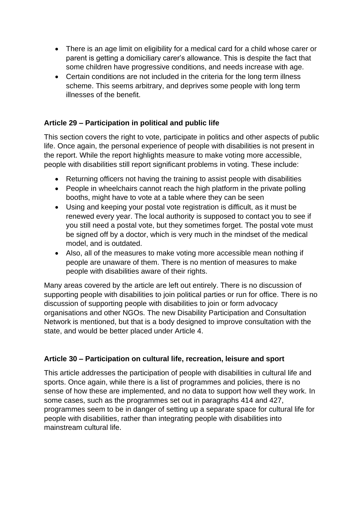- There is an age limit on eligibility for a medical card for a child whose carer or parent is getting a domiciliary carer's allowance. This is despite the fact that some children have progressive conditions, and needs increase with age.
- Certain conditions are not included in the criteria for the long term illness scheme. This seems arbitrary, and deprives some people with long term illnesses of the benefit.

# **Article 29 – Participation in political and public life**

This section covers the right to vote, participate in politics and other aspects of public life. Once again, the personal experience of people with disabilities is not present in the report. While the report highlights measure to make voting more accessible, people with disabilities still report significant problems in voting. These include:

- Returning officers not having the training to assist people with disabilities
- People in wheelchairs cannot reach the high platform in the private polling booths, might have to vote at a table where they can be seen
- Using and keeping your postal vote registration is difficult, as it must be renewed every year. The local authority is supposed to contact you to see if you still need a postal vote, but they sometimes forget. The postal vote must be signed off by a doctor, which is very much in the mindset of the medical model, and is outdated.
- Also, all of the measures to make voting more accessible mean nothing if people are unaware of them. There is no mention of measures to make people with disabilities aware of their rights.

Many areas covered by the article are left out entirely. There is no discussion of supporting people with disabilities to join political parties or run for office. There is no discussion of supporting people with disabilities to join or form advocacy organisations and other NGOs. The new Disability Participation and Consultation Network is mentioned, but that is a body designed to improve consultation with the state, and would be better placed under Article 4.

### **Article 30 – Participation on cultural life, recreation, leisure and sport**

This article addresses the participation of people with disabilities in cultural life and sports. Once again, while there is a list of programmes and policies, there is no sense of how these are implemented, and no data to support how well they work. In some cases, such as the programmes set out in paragraphs 414 and 427, programmes seem to be in danger of setting up a separate space for cultural life for people with disabilities, rather than integrating people with disabilities into mainstream cultural life.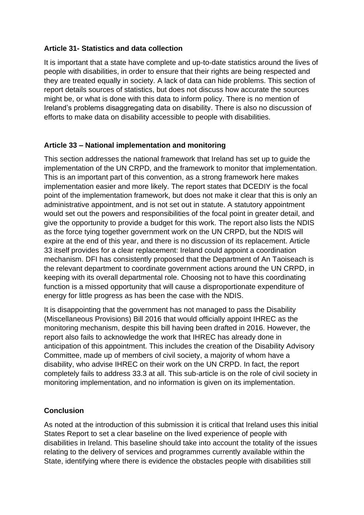### **Article 31- Statistics and data collection**

It is important that a state have complete and up-to-date statistics around the lives of people with disabilities, in order to ensure that their rights are being respected and they are treated equally in society. A lack of data can hide problems. This section of report details sources of statistics, but does not discuss how accurate the sources might be, or what is done with this data to inform policy. There is no mention of Ireland's problems disaggregating data on disability. There is also no discussion of efforts to make data on disability accessible to people with disabilities.

#### **Article 33 – National implementation and monitoring**

This section addresses the national framework that Ireland has set up to guide the implementation of the UN CRPD, and the framework to monitor that implementation. This is an important part of this convention, as a strong framework here makes implementation easier and more likely. The report states that DCEDIY is the focal point of the implementation framework, but does not make it clear that this is only an administrative appointment, and is not set out in statute. A statutory appointment would set out the powers and responsibilities of the focal point in greater detail, and give the opportunity to provide a budget for this work. The report also lists the NDIS as the force tying together government work on the UN CRPD, but the NDIS will expire at the end of this year, and there is no discussion of its replacement. Article 33 itself provides for a clear replacement: Ireland could appoint a coordination mechanism. DFI has consistently proposed that the Department of An Taoiseach is the relevant department to coordinate government actions around the UN CRPD, in keeping with its overall departmental role. Choosing not to have this coordinating function is a missed opportunity that will cause a disproportionate expenditure of energy for little progress as has been the case with the NDIS.

It is disappointing that the government has not managed to pass the Disability (Miscellaneous Provisions) Bill 2016 that would officially appoint IHREC as the monitoring mechanism, despite this bill having been drafted in 2016. However, the report also fails to acknowledge the work that IHREC has already done in anticipation of this appointment. This includes the creation of the Disability Advisory Committee, made up of members of civil society, a majority of whom have a disability, who advise IHREC on their work on the UN CRPD. In fact, the report completely fails to address 33.3 at all. This sub-article is on the role of civil society in monitoring implementation, and no information is given on its implementation.

#### **Conclusion**

As noted at the introduction of this submission it is critical that Ireland uses this initial States Report to set a clear baseline on the lived experience of people with disabilities in Ireland. This baseline should take into account the totality of the issues relating to the delivery of services and programmes currently available within the State, identifying where there is evidence the obstacles people with disabilities still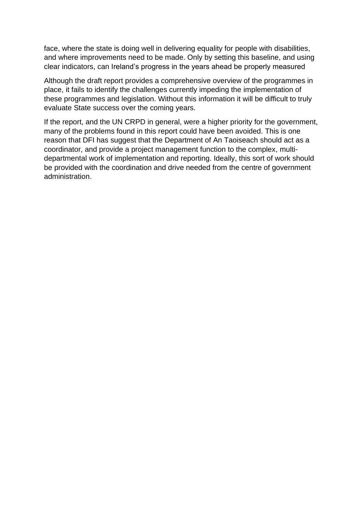face, where the state is doing well in delivering equality for people with disabilities, and where improvements need to be made. Only by setting this baseline, and using clear indicators, can Ireland's progress in the years ahead be properly measured

Although the draft report provides a comprehensive overview of the programmes in place, it fails to identify the challenges currently impeding the implementation of these programmes and legislation. Without this information it will be difficult to truly evaluate State success over the coming years.

If the report, and the UN CRPD in general, were a higher priority for the government, many of the problems found in this report could have been avoided. This is one reason that DFI has suggest that the Department of An Taoiseach should act as a coordinator, and provide a project management function to the complex, multidepartmental work of implementation and reporting. Ideally, this sort of work should be provided with the coordination and drive needed from the centre of government administration.